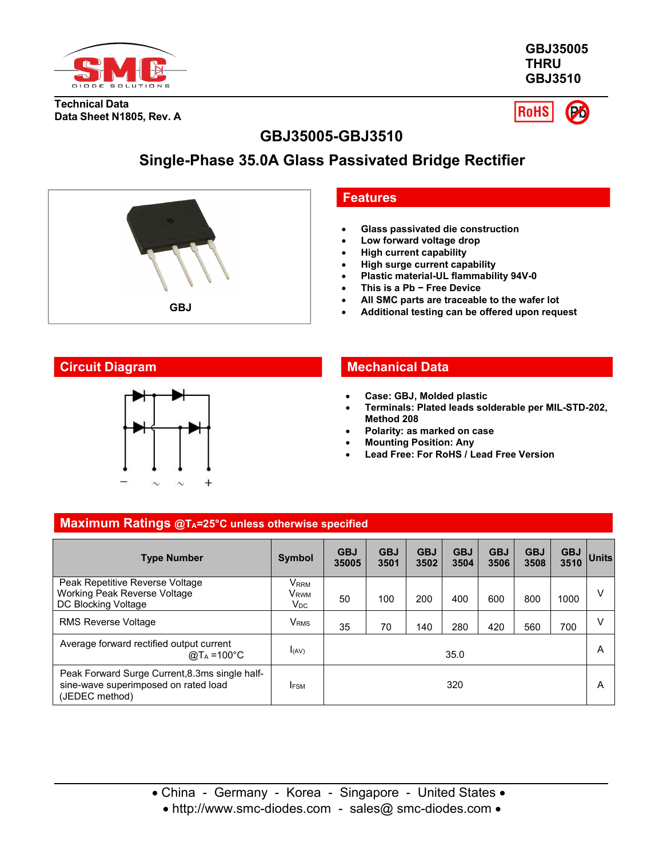

**GBJ35005 THRU GBJ3510**

**Technical Data Data Sheet N1805, Rev. A**



# **GBJ35005-GBJ3510**

# **Single-Phase 35.0A Glass Passivated Bridge Rectifier**





# **Features**

- **Glass passivated die construction**
- **Low forward voltage drop**
- **High current capability**
- **High surge current capability**
- **Plastic material-UL flammability 94V-0**
- **This is a Pb − Free Device**
- **All SMC parts are traceable to the wafer lot**
- **GBJ b Additional testing can be offered upon request**

# **Circuit Diagram Mechanical Data**

- **Case: GBJ, Molded plastic**
- **Terminals: Plated leads solderable per MIL-STD-202, Method 208**
- **Polarity: as marked on case**
- **Mounting Position: Any**
- **Lead Free: For RoHS / Lead Free Version**

#### **Maximum Ratings @TA=25°C unless otherwise specified**

| <b>Type Number</b>                                                                                       | <b>Symbol</b>                                                      | <b>GBJ</b><br>35005 | <b>GBJ</b><br>3501 | <b>GBJ</b><br>3502 | <b>GBJ</b><br>3504 | <b>GBJ</b><br>3506 | <b>GBJ</b><br>3508 | <b>GBJ</b><br>3510 | Units  |
|----------------------------------------------------------------------------------------------------------|--------------------------------------------------------------------|---------------------|--------------------|--------------------|--------------------|--------------------|--------------------|--------------------|--------|
| Peak Repetitive Reverse Voltage<br>Working Peak Reverse Voltage<br>DC Blocking Voltage                   | $\mathsf{V}_{\mathsf{RRM}}$<br><b>V</b> <sub>RWM</sub><br>$V_{DC}$ | 50                  | 100                | 200                | 400                | 600                | 800                | 1000               | $\vee$ |
| <b>RMS Reverse Voltage</b>                                                                               | V <sub>RMS</sub>                                                   | 35                  | 70                 | 140                | 280                | 420                | 560                | 700                | $\vee$ |
| Average forward rectified output current<br>@T <sub>A</sub> =100°C                                       | I(AV)                                                              | 35.0                |                    |                    |                    |                    |                    | A                  |        |
| Peak Forward Surge Current, 8.3ms single half-<br>sine-wave superimposed on rated load<br>(JEDEC method) | <b>I</b> FSM                                                       | 320                 |                    |                    |                    |                    |                    | A                  |        |

• China - Germany - Korea - Singapore - United States •

• http://www.smc-diodes.com - sales@ smc-diodes.com •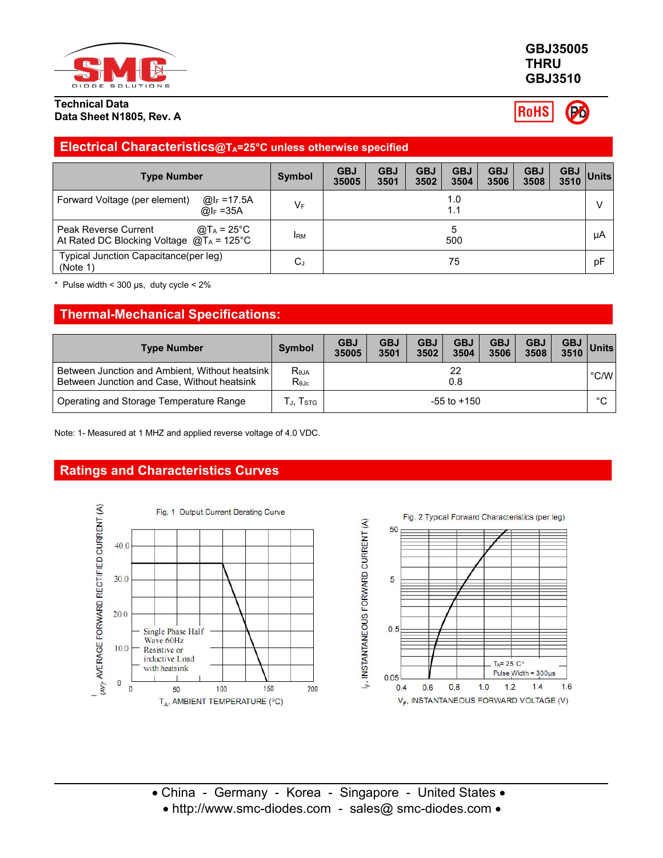

#### **Technical Data Data Sheet N1805, Rev. A**

### **GBJ35005 THRU GBJ3510**

**RoHS** 

## **Electrical Characteristics@TA=25°C unless otherwise specified**

| <b>Type Number</b>                                                                                  | <b>Symbol</b> | <b>GBJ</b><br>35005 | <b>GBJ</b><br>3501 | <b>GBJ</b><br>3502 | <b>GBJ</b><br>3504 | <b>GBJ</b><br>3506 | <b>GBJ</b><br>3508 | <b>GBJ</b><br>3510 | Units |
|-----------------------------------------------------------------------------------------------------|---------------|---------------------|--------------------|--------------------|--------------------|--------------------|--------------------|--------------------|-------|
| Forward Voltage (per element)<br>@lF =17.5A<br>@ $I_F = 35A$                                        | $V_F$         | 1.0<br>1.1          |                    |                    |                    |                    |                    |                    |       |
| Peak Reverse Current<br>@T <sub>A</sub> = 25°C<br>At Rated DC Blocking Voltage $@T_A = 125^\circ C$ | <b>IRM</b>    | 500                 |                    |                    |                    | μA                 |                    |                    |       |
| Typical Junction Capacitance(per leg)<br>(Note 1)                                                   | $C_J$         | 75                  |                    |                    |                    | pF                 |                    |                    |       |

Pulse width <  $300 \,\mu s$ , duty cycle <  $2\%$ 

# **Thermal-Mechanical Specifications:**

| <b>Type Number</b>                                                                            | Symbol                       | <b>GBJ</b><br>35005 | <b>GBJ</b><br>3501 | <b>GBJ</b><br>3502 | <b>GBJ</b><br>3504 | <b>GBJ</b><br>3506 | <b>GBJ</b><br>3508 | <b>GBJ</b><br>3510 | Units |
|-----------------------------------------------------------------------------------------------|------------------------------|---------------------|--------------------|--------------------|--------------------|--------------------|--------------------|--------------------|-------|
| Between Junction and Ambient, Without heatsink<br>Between Junction and Case, Without heatsink | $R_{\theta$ JA<br>$R_{0,IC}$ | 22<br>0.8           |                    |                    |                    |                    |                    | °C/W               |       |
| Operating and Storage Temperature Range                                                       | J, Istg                      | $-55$ to $+150$     |                    |                    |                    |                    |                    | $\circ$<br>◡       |       |

Note: 1- Measured at 1 MHZ and applied reverse voltage of 4.0 VDC.

## **Ratings and Characteristics Curves**



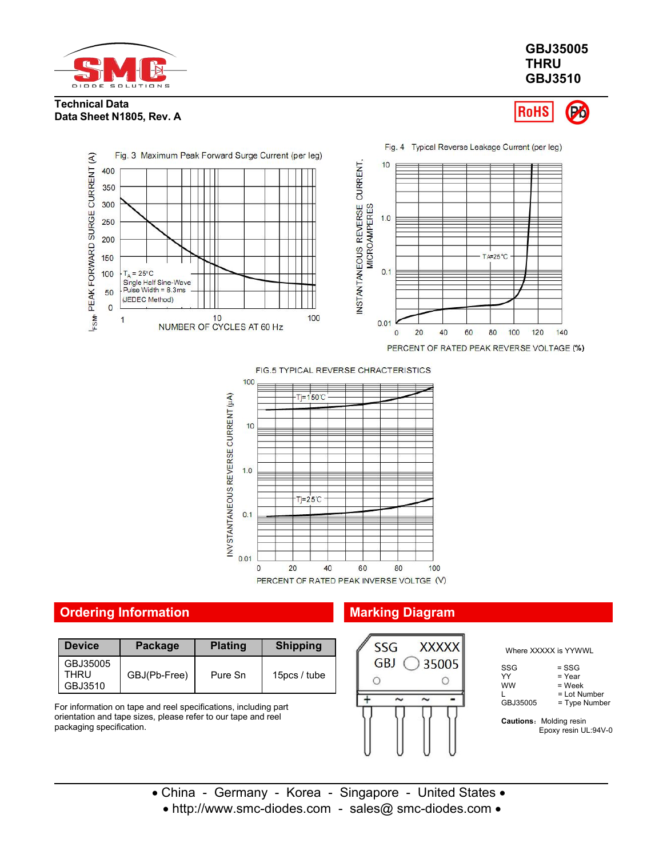

### **GBJ35005 THRU GBJ3510**

#### **Technical Data Data Sheet N1805, Rev. A**

**RoHS** Pó



FIG.5 TYPICAL REVERSE CHRACTERISTICS



# **Ordering Information Marking Diagram**

| <b>Device</b>    | Package      | <b>Plating</b> | <b>Shipping</b> | XXX)<br><b>SSG</b> |
|------------------|--------------|----------------|-----------------|--------------------|
| GBJ35005<br>THRU | GBJ(Pb-Free) | Pure Sn        | 15pcs / tube    | <b>GBJ</b><br>350  |
| GBJ3510          |              |                |                 |                    |

For information on tape and reel specifications, including part orientation and tape sizes, please refer to our tape and reel packaging specification.



Where XXXXX is YYWWL

| SSG      | $=$ SSG         |  |
|----------|-----------------|--|
| YY       | = Year          |  |
| ww       | $=$ Week        |  |
|          | = Lot Number    |  |
| GBJ35005 | $=$ Type Number |  |
|          |                 |  |

**Cautions:** Molding resin Epoxy resin UL:94V-0

- China Germany Korea Singapore United States • http://www.smc-diodes.com - sales@ smc-diodes.com •
	-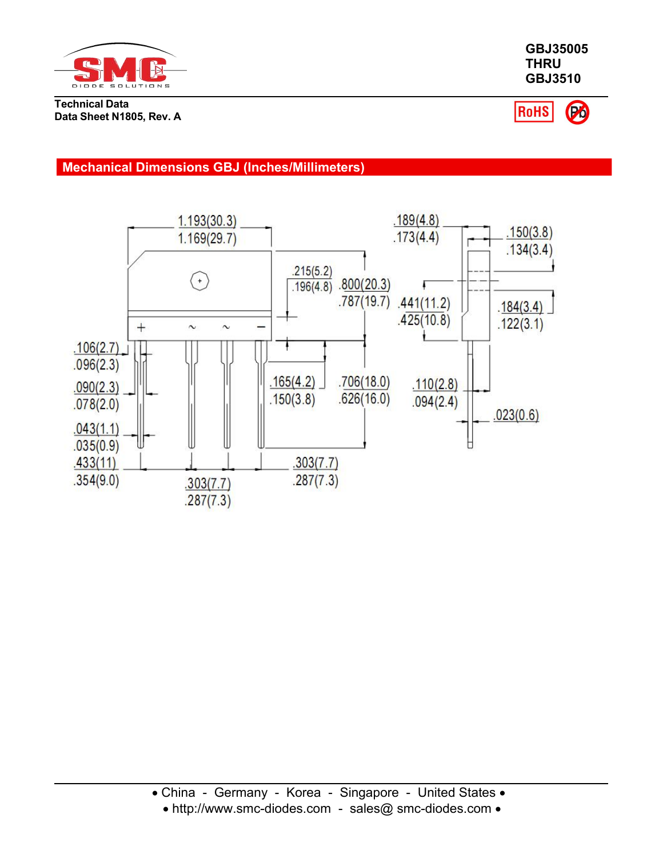

**Technical Data Data Sheet N1805, Rev. A** **GBJ3510**

**GBJ35005 THRU**

RoHS (Po)

## **Mechanical Dimensions GBJ (Inches/Millimeters)**